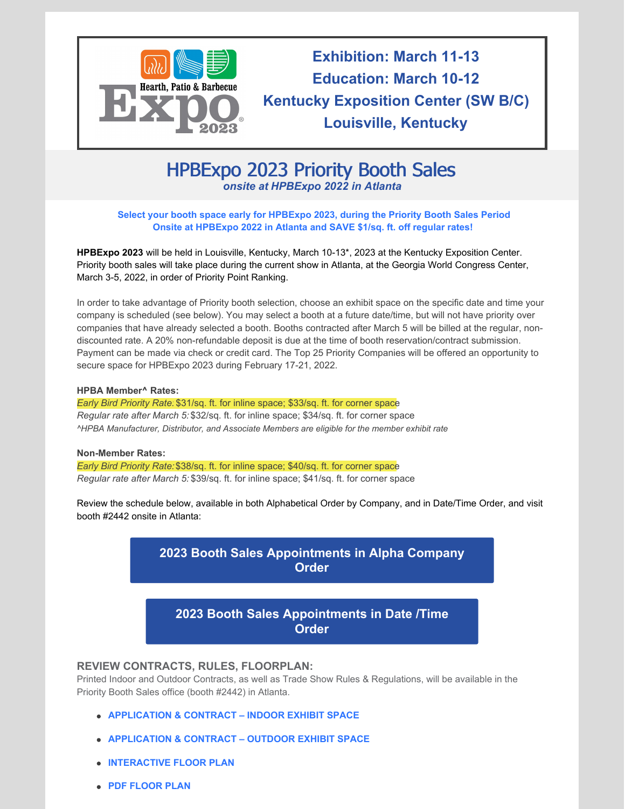

**Exhibition: March 11-13 Education: March 10-12 Kentucky Exposition Center (SW B/C) Louisville, Kentucky**

# HPBExpo 2023 Priority Booth Sales *onsite at [HPBExpo](http://www.hpbexpo.com) 2022 in Atlanta*

### **Select your booth space early for [HPBExpo](https://www.hpbexpo.com/exhibit/priority-booth-sales/) 2023, during the Priority Booth Sales Period Onsite at [HPBExpo](https://www.hpbexpo.com/exhibit/priority-booth-sales/) 2022 in Atlanta and SAVE \$1/sq. ft. off regular rates!**

**HPBExpo 2023** will be held in Louisville, Kentucky, March 10-13\*, 2023 at the Kentucky Exposition Center. Priority booth sales will take place during the current show in Atlanta, at the Georgia World Congress Center, March 3-5, 2022, in order of Priority Point Ranking.

In order to take advantage of Priority booth selection, choose an exhibit space on the specific date and time your company is scheduled (see below). You may select a booth at a future date/time, but will not have priority over companies that have already selected a booth. Booths contracted after March 5 will be billed at the regular, nondiscounted rate. A 20% non-refundable deposit is due at the time of booth reservation/contract submission. Payment can be made via check or credit card. The Top 25 Priority Companies will be offered an opportunity to secure space for HPBExpo 2023 during February 17-21, 2022.

#### **HPBA Member^ Rates:**

*Early Bird Priority Rate:* \$31/sq. ft. for inline space; \$33/sq. ft. for corner space *Regular rate after March 5:* \$32/sq. ft. for inline space; \$34/sq. ft. for corner space *^HPBA Manufacturer, Distributor, and Associate Members are eligible for the member exhibit rate*

### **Non-Member Rates:**

*Early Bird Priority Rate:*\$38/sq. ft. for inline space; \$40/sq. ft. for corner space *Regular rate after March 5:* \$39/sq. ft. for inline space; \$41/sq. ft. for corner space

Review the schedule below, available in both Alphabetical Order by Company, and in Date/Time Order, and visit booth #2442 onsite in Atlanta:



## **2023 Booth Sales [Appointments](https://www.hpbexpo.com/wp-content/uploads/2022/02/2023-Priority-Schedule-by-date-time.pdf) in Date /Time Order**

## **REVIEW CONTRACTS, RULES, FLOORPLAN:**

Printed Indoor and Outdoor Contracts, as well as Trade Show Rules & Regulations, will be available in the Priority Booth Sales office (booth #2442) in Atlanta.

- **[APPLICATION](https://www.hpbexpo.com/wp-content/uploads/2022/02/INDOOR-Application-Contract-2023-Priority-form.pdf) & CONTRACT – INDOOR EXHIBIT SPACE**
- **[APPLICATION](https://www.hpbexpo.com/wp-content/uploads/2022/02/OUTDOOR-Application-Contract-2023-Priority-Form.pdf) & CONTRACT – OUTDOOR EXHIBIT SPACE**
- **[INTERACTIVE](https://s23.a2zinc.net/clients/HPBA/HPBExpo2023/Public/eventmap.aspx?shmode=E) FLOOR PLAN**
- **PDF [FLOOR](https://s23.a2zinc.net/clients/HPBA/HPBExpo2023//Public/GeneratePDF.aspx?IMID=undefined&EventId=6&MapId=10) PLAN**